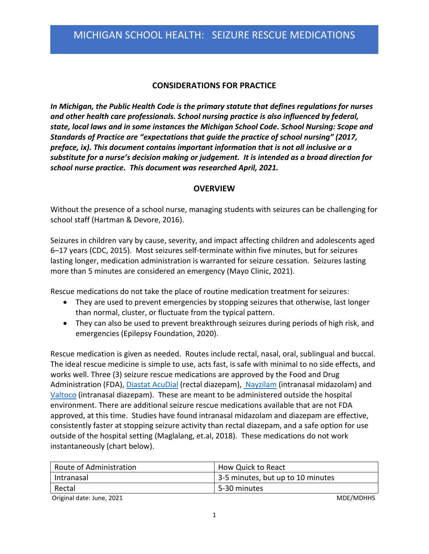## **CONSIDERATIONS FOR PRACTICE**

 *In Michigan, the Public Health Code is the primary statute that defines regulations for nurses and other health care professionals. School nursing practice is also influenced by federal, state, local laws and in some instances the Michigan School Code. School Nursing: Scope and Standards of Practice are "expectations that guide the practice of school nursing" (2017, preface, ix). This document contains important information that is not all inclusive or a substitute for a nurse's decision making or judgement. It is intended as a broad direction for school nurse practice. This document was researched April, 2021.* 

#### **OVERVIEW**

 Without the presence of a school nurse, managing students with seizures can be challenging for school staff (Hartman & Devore, 2016).

 Seizures in children vary by cause, severity, and impact affecting children and adolescents aged 6–17 years (CDC, 2015). Most seizures self-terminate within five minutes, but for seizures lasting longer, medication administration is warranted for seizure cessation. Seizures lasting more than 5 minutes are considered an emergency (Mayo Clinic, 2021).

Rescue medications do not take the place of routine medication treatment for seizures:

- • They are used to prevent emergencies by stopping seizures that otherwise, last longer than normal, cluster, or fluctuate from the typical pattern.
- • They can also be used to prevent breakthrough seizures during periods of high risk, and emergencies (Epilepsy Foundation, 2020).

 The ideal rescue medicine is simple to use, acts fast, is safe with minimal to no side effects, and works well. Three (3) seizure rescue medications are approved by the Food and Drug [Valtoco](https://www.valtoco.com/?utm_campaign=VCO-DTC&utm_medium=cpc&utm_content=ConversionExploreThisNasalTreatment&utm_source=bing&utm_term=diazepam&gclid=a21fd7be89d719ca3062b7e1177f7ddb&gclsrc=3p.ds&msclkid=a21fd7be89d719ca3062b7e1177f7ddb) (intranasal diazepam). These are meant to be administered outside the hospital environment. There are additional seizure rescue medications available that are not FDA approved, at this time. Studies have found intranasal midazolam and diazepam are effective, consistently faster at stopping seizure activity than rectal diazepam, and a safe option for use outside of the hospital setting (Maglalang, et.al, 2018). These medications do not work instantaneously (chart below). Rescue medication is given as needed. Routes include rectal, nasal, oral, sublingual and buccal. Administration (FDA), [Diastat AcuDial](https://www.diastat.com/) (rectal diazepam)[, Nayzilam](https://www.nayzilam.com/?msclkid=c6e42248991818f66f85421704ad1c04&utm_source=bing&utm_medium=cpc&utm_campaign=BR%20%7C%20PAT%20%7C%20Nayzilam&utm_term=nayzilam&utm_content=Nayzilam) (intranasal midazolam) and

| Route of Administration | How Quick to React                |
|-------------------------|-----------------------------------|
| ' Intranasal            | 3-5 minutes, but up to 10 minutes |
| Rectal                  | 5-30 minutes                      |

Original date: June, 2021 and the contract of the contract of the contract of the contract of the contract of the contract of the contract of the contract of the contract of the contract of the contract of the contract of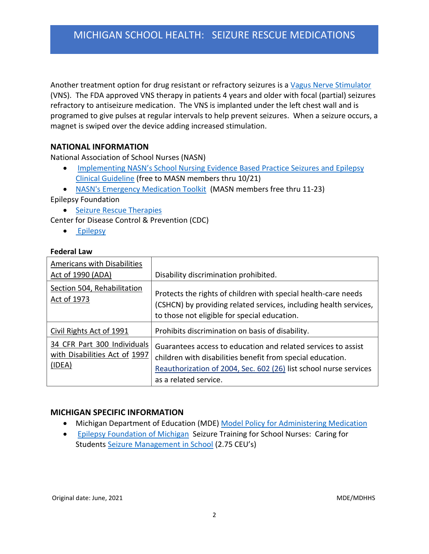Another treatment option for drug resistant or refractory seizures is a Vagus Nerve Stimulator (VNS). The FDA approved VNS therapy in patients 4 years and older with focal (partial) seizures refractory to antiseizure medication. The VNS is implanted under the left chest wall and is programed to give pulses at regular intervals to help prevent seizures. When a seizure occurs, a magnet is swiped over the device adding increased stimulation.

### **NATIONAL INFORMATION**

National Association of School Nurses (NASN)

- **Implementing NASN's School Nurs[ing Evidence Based Practice Seizures and Epilepsy](https://www.pathlms.com/nasn/courses/9476)** [Clinical Guideline](https://www.pathlms.com/nasn/courses/9476) (free to MASN members thru 10/21)
- [NASN's Emergency Medication Toolkit](https://www.pathlms.com/nasn/courses/25694) (MASN members free thru 11-23)

Epilepsy Foundation

• [Seizure Rescue Therapies](https://www.epilepsy.com/learn/treating-seizures-and-epilepsy/seizure-rescue-therapies)

Center for Disease Control & Prevention (CDC)

• [Epilepsy](https://www.cdc.gov/epilepsy/index.html)

#### **Federal Law**

| Americans with Disabilities<br>Act of 1990 (ADA)                       | Disability discrimination prohibited.                                                                                                                                                                                     |
|------------------------------------------------------------------------|---------------------------------------------------------------------------------------------------------------------------------------------------------------------------------------------------------------------------|
| Section 504, Rehabilitation<br>Act of 1973                             | Protects the rights of children with special health-care needs<br>(CSHCN) by providing related services, including health services,<br>to those not eligible for special education.                                       |
| Civil Rights Act of 1991                                               | Prohibits discrimination on basis of disability.                                                                                                                                                                          |
| 34 CFR Part 300 Individuals<br>with Disabilities Act of 1997<br>(IDEA) | Guarantees access to education and related services to assist<br>children with disabilities benefit from special education.<br>Reauthorization of 2004, Sec. 602 (26) list school nurse services<br>as a related service. |

### **MICHIGAN SPECIFIC INFORMATION**

- Michigan Department of Education (MDE) [Model Policy for Administering Medication](https://www.michigan.gov/documents/mde/Model_Policy_and_Guidelines_for_Administering_Medications_to_Pupils_at_School_560090_7.pdf)
- **[Epilepsy Foundation](https://www.epilepsymichigan.org/page.php?id=353) of Michigan Seizure Training for School Nurses: Caring for** Students [Seizure Management in School](https://documentcloud.adobe.com/link/track?uri=urn:aaid:scds:US:7d4fd015-6d3e-4c5e-a8dd-05a641ceef7c#pageNum=1) (2.75 CEU's)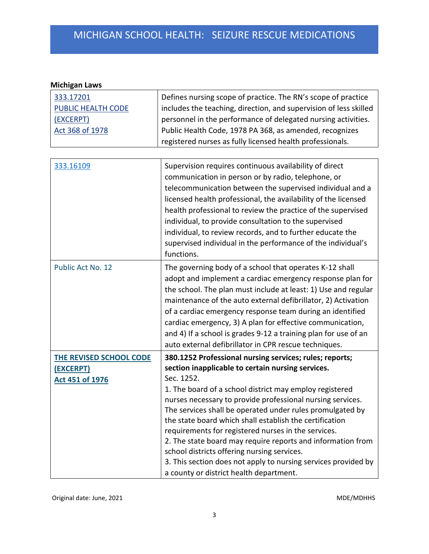## **Michigan Laws**

| 333.17201                 | Defines nursing scope of practice. The RN's scope of practice     |
|---------------------------|-------------------------------------------------------------------|
| <b>PUBLIC HEALTH CODE</b> | includes the teaching, direction, and supervision of less skilled |
| (EXCERPT)                 | personnel in the performance of delegated nursing activities.     |
| Act 368 of 1978           | Public Health Code, 1978 PA 368, as amended, recognizes           |
|                           | registered nurses as fully licensed health professionals.         |

| 333.16109               | Supervision requires continuous availability of direct<br>communication in person or by radio, telephone, or<br>telecommunication between the supervised individual and a<br>licensed health professional, the availability of the licensed<br>health professional to review the practice of the supervised<br>individual, to provide consultation to the supervised<br>individual, to review records, and to further educate the<br>supervised individual in the performance of the individual's<br>functions. |
|-------------------------|-----------------------------------------------------------------------------------------------------------------------------------------------------------------------------------------------------------------------------------------------------------------------------------------------------------------------------------------------------------------------------------------------------------------------------------------------------------------------------------------------------------------|
| Public Act No. 12       | The governing body of a school that operates K-12 shall<br>adopt and implement a cardiac emergency response plan for<br>the school. The plan must include at least: 1) Use and regular<br>maintenance of the auto external defibrillator, 2) Activation<br>of a cardiac emergency response team during an identified<br>cardiac emergency, 3) A plan for effective communication,<br>and 4) If a school is grades 9-12 a training plan for use of an<br>auto external defibrillator in CPR rescue techniques.   |
| THE REVISED SCHOOL CODE | 380.1252 Professional nursing services; rules; reports;                                                                                                                                                                                                                                                                                                                                                                                                                                                         |
| (EXCERPT)               | section inapplicable to certain nursing services.                                                                                                                                                                                                                                                                                                                                                                                                                                                               |
| Act 451 of 1976         | Sec. 1252.                                                                                                                                                                                                                                                                                                                                                                                                                                                                                                      |
|                         | 1. The board of a school district may employ registered                                                                                                                                                                                                                                                                                                                                                                                                                                                         |
|                         | nurses necessary to provide professional nursing services.                                                                                                                                                                                                                                                                                                                                                                                                                                                      |
|                         | The services shall be operated under rules promulgated by                                                                                                                                                                                                                                                                                                                                                                                                                                                       |
|                         | the state board which shall establish the certification                                                                                                                                                                                                                                                                                                                                                                                                                                                         |
|                         | requirements for registered nurses in the services.                                                                                                                                                                                                                                                                                                                                                                                                                                                             |
|                         | 2. The state board may require reports and information from                                                                                                                                                                                                                                                                                                                                                                                                                                                     |
|                         | school districts offering nursing services.                                                                                                                                                                                                                                                                                                                                                                                                                                                                     |
|                         | 3. This section does not apply to nursing services provided by                                                                                                                                                                                                                                                                                                                                                                                                                                                  |
|                         | a county or district health department.                                                                                                                                                                                                                                                                                                                                                                                                                                                                         |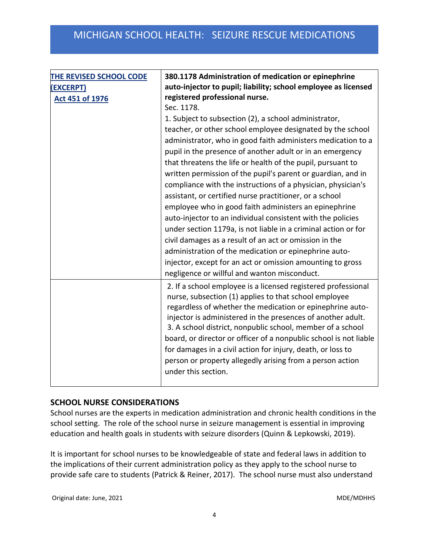| THE REVISED SCHOOL CODE | 380.1178 Administration of medication or epinephrine                                                                     |
|-------------------------|--------------------------------------------------------------------------------------------------------------------------|
| (EXCERPT)               | auto-injector to pupil; liability; school employee as licensed                                                           |
| <b>Act 451 of 1976</b>  | registered professional nurse.                                                                                           |
|                         | Sec. 1178.                                                                                                               |
|                         | 1. Subject to subsection (2), a school administrator,                                                                    |
|                         | teacher, or other school employee designated by the school                                                               |
|                         | administrator, who in good faith administers medication to a                                                             |
|                         | pupil in the presence of another adult or in an emergency                                                                |
|                         | that threatens the life or health of the pupil, pursuant to                                                              |
|                         | written permission of the pupil's parent or guardian, and in                                                             |
|                         | compliance with the instructions of a physician, physician's                                                             |
|                         | assistant, or certified nurse practitioner, or a school                                                                  |
|                         | employee who in good faith administers an epinephrine                                                                    |
|                         | auto-injector to an individual consistent with the policies                                                              |
|                         | under section 1179a, is not liable in a criminal action or for                                                           |
|                         | civil damages as a result of an act or omission in the                                                                   |
|                         | administration of the medication or epinephrine auto-                                                                    |
|                         | injector, except for an act or omission amounting to gross                                                               |
|                         | negligence or willful and wanton misconduct.                                                                             |
|                         | 2. If a school employee is a licensed registered professional<br>nurse, subsection (1) applies to that school employee   |
|                         | regardless of whether the medication or epinephrine auto-<br>injector is administered in the presences of another adult. |
|                         | 3. A school district, nonpublic school, member of a school                                                               |
|                         | board, or director or officer of a nonpublic school is not liable                                                        |
|                         | for damages in a civil action for injury, death, or loss to                                                              |
|                         | person or property allegedly arising from a person action                                                                |
|                         | under this section.                                                                                                      |
|                         |                                                                                                                          |

### **SCHOOL NURSE CONSIDERATIONS**

 School nurses are the experts in medication administration and chronic health conditions in the school setting. The role of the school nurse in seizure management is essential in improving education and health goals in students with seizure disorders (Quinn & Lepkowski, 2019).

 It is important for school nurses to be knowledgeable of state and federal laws in addition to the implications of their current administration policy as they apply to the school nurse to provide safe care to students (Patrick & Reiner, 2017). The school nurse must also understand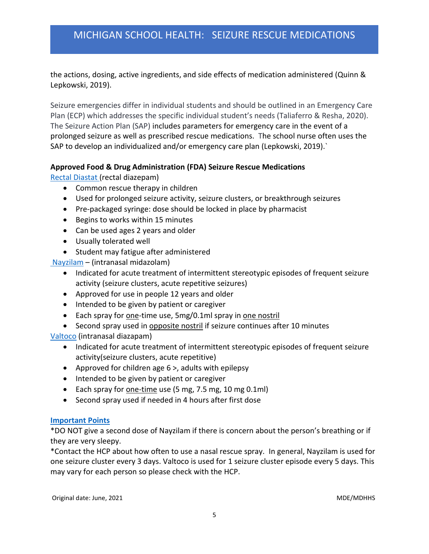the actions, dosing, active ingredients, and side effects of medication administered (Quinn & Lepkowski, 2019).

 Seizure emergencies differ in individual students and should be outlined in an Emergency Care Plan (ECP) which addresses the specific individual student's needs (Taliaferro & Resha, 2020). The Seizure Action Plan (SAP) includes parameters for emergency care in the event of a prolonged seizure as well as prescribed rescue medications. The school nurse often uses the SAP to develop an individualized and/or emergency care plan (Lepkowski, 2019).`

### **Approved Food & Drug Administration (FDA) Seizure Rescue Medications**

[Rectal Diastat](https://www.diastat.com/) (rectal diazepam)

- Common rescue therapy in children
- Used for prolonged seizure activity, seizure clusters, or breakthrough seizures
- Pre-packaged syringe: dose should be locked in place by pharmacist
- Begins to works within 15 minutes
- Can be used ages 2 years and older
- Usually tolerated well
- Student may fatigue after administered

[Nayzilam](https://www.nayzilam.com/?msclkid=c6e42248991818f66f85421704ad1c04&utm_source=bing&utm_medium=cpc&utm_campaign=BR%20%7C%20PAT%20%7C%20Nayzilam&utm_term=nayzilam&utm_content=Nayzilam) – (intranasal midazolam)

- • Indicated for acute treatment of intermittent stereotypic episodes of frequent seizure activity (seizure clusters, acute repetitive seizures)
- Approved for use in people 12 years and older
- Intended to be given by patient or caregiver
- Each spray for one-time use, 5mg/0.1ml spray in one nostril
- Second spray used in opposite nostril if seizure continues after 10 minutes

[Valtoco](https://www.valtoco.com/?utm_campaign=VCO-DTC&utm_medium=cpc&utm_content=ConversionExploreThisNasalTreatment&utm_source=bing&utm_term=diazepam&gclid=a21fd7be89d719ca3062b7e1177f7ddb&gclsrc=3p.ds&msclkid=a21fd7be89d719ca3062b7e1177f7ddb) (intranasal diazapam)

- • Indicated for acute treatment of intermittent stereotypic episodes of frequent seizure activity(seizure clusters, acute repetitive)
- Approved for children age 6 >, adults with epilepsy
- Intended to be given by patient or caregiver
- Each spray for **one-time** use (5 mg, 7.5 mg, 10 mg 0.1ml)
- Second spray used if needed in 4 hours after first dose

#### **[Important Points](https://www.epilepsy.com/learn/treating-seizures-and-epilepsy/seizure-rescue-therapies/nasal-rescue-medicines)**

 \*DO NOT give a second dose of Nayzilam if there is concern about the person's breathing or if they are very sleepy.

 \*Contact the HCP about how often to use a nasal rescue spray. In general, Nayzilam is used for one seizure cluster every 3 days. Valtoco is used for 1 seizure cluster episode every 5 days. This may vary for each person so please check with the HCP.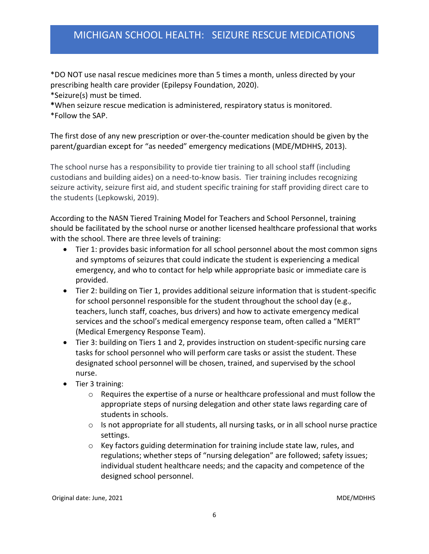\*DO NOT use nasal rescue medicines more than 5 times a month, unless directed by your prescribing health care provider (Epilepsy Foundation, 2020).

\*Seizure(s) must be timed.

**\***When seizure rescue medication is administered, respiratory status is monitored.

\*Follow the SAP.

 The first dose of any new prescription or over-the-counter medication should be given by the parent/guardian except for "as needed" emergency medications (MDE/MDHHS, 2013).

 The school nurse has a responsibility to provide tier training to all school staff (including custodians and building aides) on a need-to-know basis. Tier training includes recognizing seizure activity, seizure first aid, and student specific training for staff providing direct care to the students (Lepkowski, 2019).

 According to the NASN Tiered Training Model for Teachers and School Personnel, training should be facilitated by the school nurse or another licensed healthcare professional that works with the school. There are three levels of training:

- • Tier 1: provides basic information for all school personnel about the most common signs and symptoms of seizures that could indicate the student is experiencing a medical emergency, and who to contact for help while appropriate basic or immediate care is provided.
- • Tier 2: building on Tier 1, provides additional seizure information that is student-specific for school personnel responsible for the student throughout the school day (e.g., teachers, lunch staff, coaches, bus drivers) and how to activate emergency medical services and the school's medical emergency response team, often called a "MERT" (Medical Emergency Response Team).
- • Tier 3: building on Tiers 1 and 2, provides instruction on student-specific nursing care tasks for school personnel who will perform care tasks or assist the student. These designated school personnel will be chosen, trained, and supervised by the school nurse.
- • Tier 3 training:
	- $\circ$  Requires the expertise of a nurse or healthcare professional and must follow the appropriate steps of nursing delegation and other state laws regarding care of students in schools.
	- $\circ$  Is not appropriate for all students, all nursing tasks, or in all school nurse practice settings.
- o Key factors guiding determination for training include state law, rules, and regulations; whether steps of "nursing delegation" are followed; safety issues; individual student healthcare needs; and the capacity and competence of the designed school personnel. designed school personnel.<br>Original date: June, 2021 MDE/MDHHS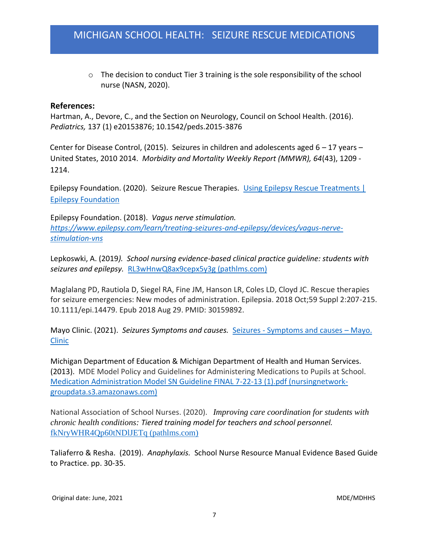$\circ$  The decision to conduct Tier 3 training is the sole responsibility of the school nurse (NASN, 2020).

#### **References:**

 *Pediatrics,* 137 (1) e20153876; 10.1542/peds.2015-3876 Hartman, A., Devore, C., and the Section on Neurology, Council on School Health. (2016).

 Center for Disease Control, (2015). Seizures in children and adolescents aged 6 – 17 years – United States, 2010 2014. *Morbidity and Mortality Weekly Report (MMWR), 64*(43), 1209 - 1214.

Epilepsy Foundation. (2020). Seizure Rescue Therapies. Using Epilepsy Rescue Treatments | [Epilepsy Foundation](https://www.epilepsy.com/learn/treating-seizures-and-epilepsy/seizure-rescue-therapies) 

 Epilepsy Foundation. (2018). *Vagus nerve stimulation. [https://www.epilepsy.com/learn/treating-seizures-and-epilepsy/devices/vagus-nerve](https://www.epilepsy.com/learn/treating-seizures-and-epilepsy/devices/vagus-nerve-stimulation-vns)[stimulation-vns](https://www.epilepsy.com/learn/treating-seizures-and-epilepsy/devices/vagus-nerve-stimulation-vns)* 

 Lepkoswki, A. (2019*). School nursing evidence-based clinical practice guideline: students with seizures and epilepsy.* [RL3wHnwQ8ax9cepx5y3g \(pathlms.com\)](https://cdn.fs.pathlms.com/RL3wHnwQ8ax9cepx5y3g?cache=true&_ga=2.29907711.1517642084.1618441845-1435047796.1611924714) 

 Maglalang PD, Rautiola D, Siegel RA, Fine JM, Hanson LR, Coles LD, Cloyd JC. Rescue therapies for seizure emergencies: New modes of administration. Epilepsia. 2018 Oct;59 Suppl 2:207-215. 10.1111/epi.14479. Epub 2018 Aug 29. PMID: 30159892.

Mayo Clinic. (2021). *Seizures Symptoms and causes.* Seizures - [Symptoms and causes](https://www.mayoclinic.org/diseases-conditions/seizure/symptoms-causes/syc-20365711) – Mayo. [Clinic](https://www.mayoclinic.org/diseases-conditions/seizure/symptoms-causes/syc-20365711) 

 Michigan Department of Education & Michigan Department of Health and Human Services. (2013). MDE Model Policy and Guidelines for Administering Medications to Pupils at School. [Medication Administration Model SN Guideline FINAL 7-22-13 \(1\).pdf \(nursingnetwork](http://nursingnetwork-groupdata.s3.amazonaws.com/NASN/Michigan_ASN/Guideline_Resources/Leadership1/Medication%20Administration%20Model%20SN%20Guideline%20FINAL%207-22-13%20(1).pdf)[groupdata.s3.amazonaws.com\)](http://nursingnetwork-groupdata.s3.amazonaws.com/NASN/Michigan_ASN/Guideline_Resources/Leadership1/Medication%20Administration%20Model%20SN%20Guideline%20FINAL%207-22-13%20(1).pdf) 

 National Association of School Nurses. (2020). *Improving care coordination for students with chronic health conditions: Tiered training model for teachers and school personnel.*  [fkNryWHR4Qp60tNDlJETq \(pathlms.com\)](https://cdn.fs.pathlms.com/kNryWHR4Qp60tNDlJETq?cache=true&_ga=2.115306567.1518716954.1624410824-1636372363.1622580182) 

 Taliaferro & Resha. (2019). *Anaphylaxis.* School Nurse Resource Manual Evidence Based Guide to Practice. pp. 30-35.